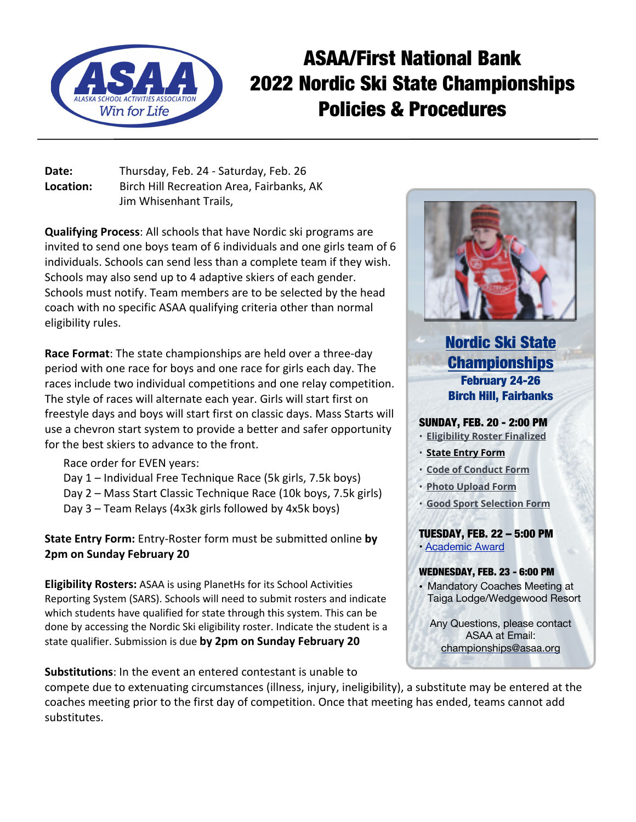

# ASAA/First National Bank 2022 Nordic Ski State Championships Policies & Procedures

**Date:** Thursday, Feb. 24 - Saturday, Feb. 26 **Location:** Birch Hill Recreation Area, Fairbanks, AK Jim Whisenhant Trails,

**Qualifying Process**: All schools that have Nordic ski programs are invited to send one boys team of 6 individuals and one girls team of 6 individuals. Schools can send less than a complete team if they wish. Schools may also send up to 4 adaptive skiers of each gender. Schools must notify. Team members are to be selected by the head coach with no specific ASAA qualifying criteria other than normal eligibility rules.

**Race Format**: The state championships are held over a three-day period with one race for boys and one race for girls each day. The races include two individual competitions and one relay competition. The style of races will alternate each year. Girls will start first on freestyle days and boys will start first on classic days. Mass Starts will use a chevron start system to provide a better and safer opportunity for the best skiers to advance to the front.

- Race order for EVEN years:
- Day 1 Individual Free Technique Race (5k girls, 7.5k boys)
- Day 2 Mass Start Classic Technique Race (10k boys, 7.5k girls)
- Day 3 Team Relays (4x3k girls followed by 4x5k boys)

**State Entry Form:** Entry-Roster form must be submitted online **by 2pm on Sunday February 20**

**Eligibility Rosters:** ASAA is using PlanetHs for its School Activities Reporting System (SARS). Schools will need to submit rosters and indicate which students have qualified for state through this system. This can be done by accessing the Nordic Ski eligibility roster. Indicate the student is a state qualifier. Submission is due **by 2pm on Sunday February 20**

**Substitutions**: In the event an entered contestant is unable to



# Nordic Ski State **Championships** February 24-26 Birch Hill, Fairbanks

## SUNDAY, FEB. 20 - 2:00 PM

- **Eligibility Roster Finalized**
- **State Entry Form**
- **Code of Conduct Form**
- **Photo Upload Form**
- **Good Sport Selection Form**

TUESDAY, FEB. 22 – 5:00 PM • Academic Award

#### WEDNESDAY, FEB. 23 - 6:00 PM

• Mandatory Coaches Meeting at Taiga Lodge/Wedgewood Resort

Any Questions, please contact ASAA at Email: championships@asaa.org

compete due to extenuating circumstances (illness, injury, ineligibility), a substitute may be entered at the coaches meeting prior to the first day of competition. Once that meeting has ended, teams cannot add substitutes.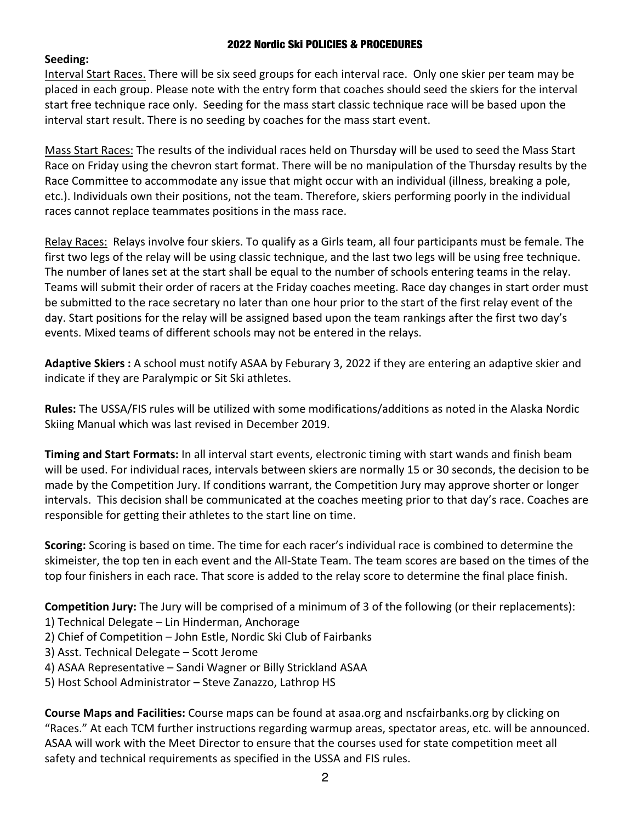#### 2022 Nordic Ski POLICIES & PROCEDURES

## **Seeding:**

Interval Start Races. There will be six seed groups for each interval race. Only one skier per team may be placed in each group. Please note with the entry form that coaches should seed the skiers for the interval start free technique race only. Seeding for the mass start classic technique race will be based upon the interval start result. There is no seeding by coaches for the mass start event.

Mass Start Races: The results of the individual races held on Thursday will be used to seed the Mass Start Race on Friday using the chevron start format. There will be no manipulation of the Thursday results by the Race Committee to accommodate any issue that might occur with an individual (illness, breaking a pole, etc.). Individuals own their positions, not the team. Therefore, skiers performing poorly in the individual races cannot replace teammates positions in the mass race.

Relay Races: Relays involve four skiers. To qualify as a Girls team, all four participants must be female. The first two legs of the relay will be using classic technique, and the last two legs will be using free technique. The number of lanes set at the start shall be equal to the number of schools entering teams in the relay. Teams will submit their order of racers at the Friday coaches meeting. Race day changes in start order must be submitted to the race secretary no later than one hour prior to the start of the first relay event of the day. Start positions for the relay will be assigned based upon the team rankings after the first two day's events. Mixed teams of different schools may not be entered in the relays.

**Adaptive Skiers :** A school must notify ASAA by Feburary 3, 2022 if they are entering an adaptive skier and indicate if they are Paralympic or Sit Ski athletes.

**Rules:** The USSA/FIS rules will be utilized with some modifications/additions as noted in the Alaska Nordic Skiing Manual which was last revised in December 2019.

**Timing and Start Formats:** In all interval start events, electronic timing with start wands and finish beam will be used. For individual races, intervals between skiers are normally 15 or 30 seconds, the decision to be made by the Competition Jury. If conditions warrant, the Competition Jury may approve shorter or longer intervals. This decision shall be communicated at the coaches meeting prior to that day's race. Coaches are responsible for getting their athletes to the start line on time.

**Scoring:** Scoring is based on time. The time for each racer's individual race is combined to determine the skimeister, the top ten in each event and the All-State Team. The team scores are based on the times of the top four finishers in each race. That score is added to the relay score to determine the final place finish.

**Competition Jury:** The Jury will be comprised of a minimum of 3 of the following (or their replacements):

- 1) Technical Delegate Lin Hinderman, Anchorage
- 2) Chief of Competition John Estle, Nordic Ski Club of Fairbanks
- 3) Asst. Technical Delegate Scott Jerome
- 4) ASAA Representative Sandi Wagner or Billy Strickland ASAA
- 5) Host School Administrator Steve Zanazzo, Lathrop HS

**Course Maps and Facilities:** Course maps can be found at asaa.org and nscfairbanks.org by clicking on "Races." At each TCM further instructions regarding warmup areas, spectator areas, etc. will be announced. ASAA will work with the Meet Director to ensure that the courses used for state competition meet all safety and technical requirements as specified in the USSA and FIS rules.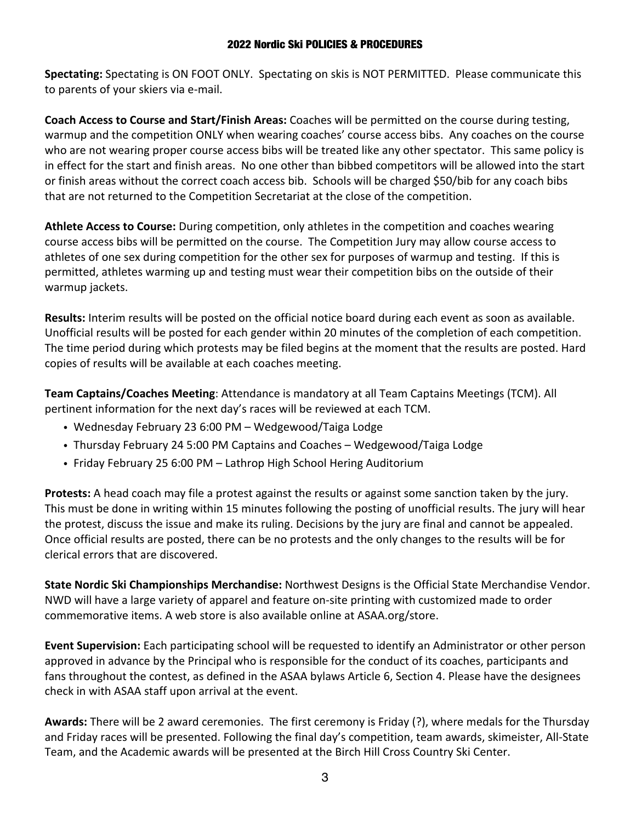#### 2022 Nordic Ski POLICIES & PROCEDURES

**Spectating:** Spectating is ON FOOT ONLY. Spectating on skis is NOT PERMITTED. Please communicate this to parents of your skiers via e-mail.

**Coach Access to Course and Start/Finish Areas:** Coaches will be permitted on the course during testing, warmup and the competition ONLY when wearing coaches' course access bibs. Any coaches on the course who are not wearing proper course access bibs will be treated like any other spectator. This same policy is in effect for the start and finish areas. No one other than bibbed competitors will be allowed into the start or finish areas without the correct coach access bib. Schools will be charged \$50/bib for any coach bibs that are not returned to the Competition Secretariat at the close of the competition.

**Athlete Access to Course:** During competition, only athletes in the competition and coaches wearing course access bibs will be permitted on the course. The Competition Jury may allow course access to athletes of one sex during competition for the other sex for purposes of warmup and testing. If this is permitted, athletes warming up and testing must wear their competition bibs on the outside of their warmup jackets.

**Results:** Interim results will be posted on the official notice board during each event as soon as available. Unofficial results will be posted for each gender within 20 minutes of the completion of each competition. The time period during which protests may be filed begins at the moment that the results are posted. Hard copies of results will be available at each coaches meeting.

**Team Captains/Coaches Meeting**: Attendance is mandatory at all Team Captains Meetings (TCM). All pertinent information for the next day's races will be reviewed at each TCM.

- ! Wednesday February 23 6:00 PM Wedgewood/Taiga Lodge
- ! Thursday February 24 5:00 PM Captains and Coaches Wedgewood/Taiga Lodge
- Friday February 25 6:00 PM Lathrop High School Hering Auditorium

**Protests:** A head coach may file a protest against the results or against some sanction taken by the jury. This must be done in writing within 15 minutes following the posting of unofficial results. The jury will hear the protest, discuss the issue and make its ruling. Decisions by the jury are final and cannot be appealed. Once official results are posted, there can be no protests and the only changes to the results will be for clerical errors that are discovered.

**State Nordic Ski Championships Merchandise:** Northwest Designs is the Official State Merchandise Vendor. NWD will have a large variety of apparel and feature on-site printing with customized made to order commemorative items. A web store is also available online at ASAA.org/store.

**Event Supervision:** Each participating school will be requested to identify an Administrator or other person approved in advance by the Principal who is responsible for the conduct of its coaches, participants and fans throughout the contest, as defined in the ASAA bylaws Article 6, Section 4. Please have the designees check in with ASAA staff upon arrival at the event.

**Awards:** There will be 2 award ceremonies. The first ceremony is Friday (?), where medals for the Thursday and Friday races will be presented. Following the final day's competition, team awards, skimeister, All-State Team, and the Academic awards will be presented at the Birch Hill Cross Country Ski Center.